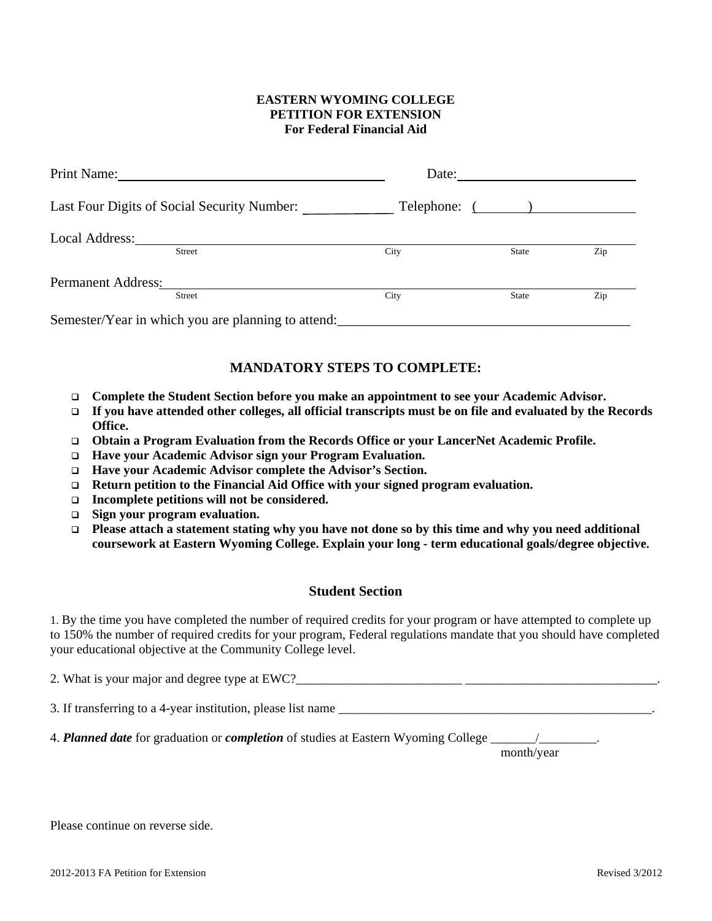## **EASTERN WYOMING COLLEGE PETITION FOR EXTENSION For Federal Financial Aid**

| Print Name:               |                                                    | Date: |               |     |
|---------------------------|----------------------------------------------------|-------|---------------|-----|
|                           | Last Four Digits of Social Security Number:        |       | Telephone: () |     |
| Local Address:            | Street                                             | City  | <b>State</b>  | Zip |
| <b>Permanent Address:</b> | <b>Street</b>                                      | City  | <b>State</b>  | Zip |
|                           | Semester/Year in which you are planning to attend: |       |               |     |

## **MANDATORY STEPS TO COMPLETE:**

- **Complete the Student Section before you make an appointment to see your Academic Advisor.**
- **If you have attended other colleges, all official transcripts must be on file and evaluated by the Records Office.**
- **Obtain a Program Evaluation from the Records Office or your LancerNet Academic Profile.**
- **Have your Academic Advisor sign your Program Evaluation.**
- **Have your Academic Advisor complete the Advisor's Section.**
- **Return petition to the Financial Aid Office with your signed program evaluation.**
- **Incomplete petitions will not be considered.**
- **Sign your program evaluation.**
- **Please attach a statement stating why you have not done so by this time and why you need additional coursework at Eastern Wyoming College. Explain your long - term educational goals/degree objective.**

## **Student Section**

1. By the time you have completed the number of required credits for your program or have attempted to complete up to 150% the number of required credits for your program, Federal regulations mandate that you should have completed your educational objective at the Community College level.

| 2. What is your major and degree type at EWC?                |  |  |  |  |
|--------------------------------------------------------------|--|--|--|--|
| 3. If transferring to a 4-year institution, please list name |  |  |  |  |

4. *Planned date* for graduation or *completion* of studies at Eastern Wyoming College \_

month/year

Please continue on reverse side.